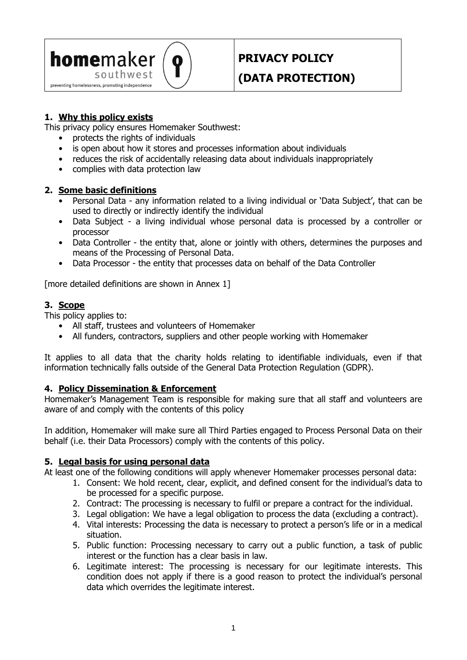

# **PRIVACY POLICY**

## **(DATA PROTECTION)**

## **1. Why this policy exists**

This privacy policy ensures Homemaker Southwest:

- protects the rights of individuals
- is open about how it stores and processes information about individuals
- reduces the risk of accidentally releasing data about individuals inappropriately
- complies with data protection law

#### **2. Some basic definitions**

- Personal Data any information related to a living individual or 'Data Subject', that can be used to directly or indirectly identify the individual
- Data Subject a living individual whose personal data is processed by a controller or processor
- Data Controller the entity that, alone or jointly with others, determines the purposes and means of the Processing of Personal Data.
- Data Processor the entity that processes data on behalf of the Data Controller

[more detailed definitions are shown in Annex 1]

## **3. Scope**

This policy applies to:

- All staff, trustees and volunteers of Homemaker
- All funders, contractors, suppliers and other people working with Homemaker

It applies to all data that the charity holds relating to identifiable individuals, even if that information technically falls outside of the General Data Protection Regulation (GDPR).

#### **4. Policy Dissemination & Enforcement**

Homemaker's Management Team is responsible for making sure that all staff and volunteers are aware of and comply with the contents of this policy

In addition, Homemaker will make sure all Third Parties engaged to Process Personal Data on their behalf (i.e. their Data Processors) comply with the contents of this policy.

#### **5. Legal basis for using personal data**

At least one of the following conditions will apply whenever Homemaker processes personal data:

- 1. Consent: We hold recent, clear, explicit, and defined consent for the individual's data to be processed for a specific purpose.
- 2. Contract: The processing is necessary to fulfil or prepare a contract for the individual.
- 3. Legal obligation: We have a legal obligation to process the data (excluding a contract).
- 4. Vital interests: Processing the data is necessary to protect a person's life or in a medical situation.
- 5. Public function: Processing necessary to carry out a public function, a task of public interest or the function has a clear basis in law.
- 6. Legitimate interest: The processing is necessary for our legitimate interests. This condition does not apply if there is a good reason to protect the individual's personal data which overrides the legitimate interest.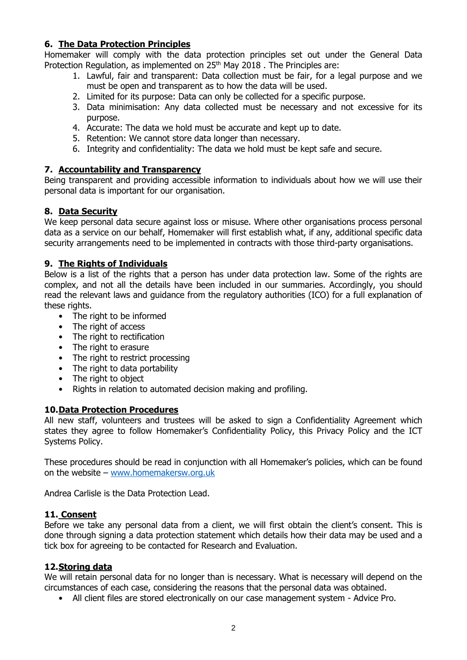## **6. The Data Protection Principles**

Homemaker will comply with the data protection principles set out under the General Data Protection Regulation, as implemented on  $25<sup>th</sup>$  May 2018 . The Principles are:

- 1. Lawful, fair and transparent: Data collection must be fair, for a legal purpose and we must be open and transparent as to how the data will be used.
- 2. Limited for its purpose: Data can only be collected for a specific purpose.
- 3. Data minimisation: Any data collected must be necessary and not excessive for its purpose.
- 4. Accurate: The data we hold must be accurate and kept up to date.
- 5. Retention: We cannot store data longer than necessary.
- 6. Integrity and confidentiality: The data we hold must be kept safe and secure.

## **7. Accountability and Transparency**

Being transparent and providing accessible information to individuals about how we will use their personal data is important for our organisation.

## **8. Data Security**

We keep personal data secure against loss or misuse. Where other organisations process personal data as a service on our behalf, Homemaker will first establish what, if any, additional specific data security arrangements need to be implemented in contracts with those third-party organisations.

#### **9. The Rights of Individuals**

Below is a list of the rights that a person has under data protection law. Some of the rights are complex, and not all the details have been included in our summaries. Accordingly, you should read the relevant laws and guidance from the regulatory authorities (ICO) for a full explanation of these rights.

- The right to be informed
- The right of access
- The right to rectification
- The right to erasure
- The right to restrict processing
- The right to data portability
- The right to object
- Rights in relation to automated decision making and profiling.

## **10.Data Protection Procedures**

All new staff, volunteers and trustees will be asked to sign a Confidentiality Agreement which states they agree to follow Homemaker's Confidentiality Policy, this Privacy Policy and the ICT Systems Policy.

These procedures should be read in conjunction with all Homemaker's policies, which can be found on the website – [www.homemakersw.org.uk](http://www.homemakersw.org.uk/)

Andrea Carlisle is the Data Protection Lead.

#### **11. Consent**

Before we take any personal data from a client, we will first obtain the client's consent. This is done through signing a data protection statement which details how their data may be used and a tick box for agreeing to be contacted for Research and Evaluation.

#### **12.Storing data**

We will retain personal data for no longer than is necessary. What is necessary will depend on the circumstances of each case, considering the reasons that the personal data was obtained.

• All client files are stored electronically on our case management system - Advice Pro.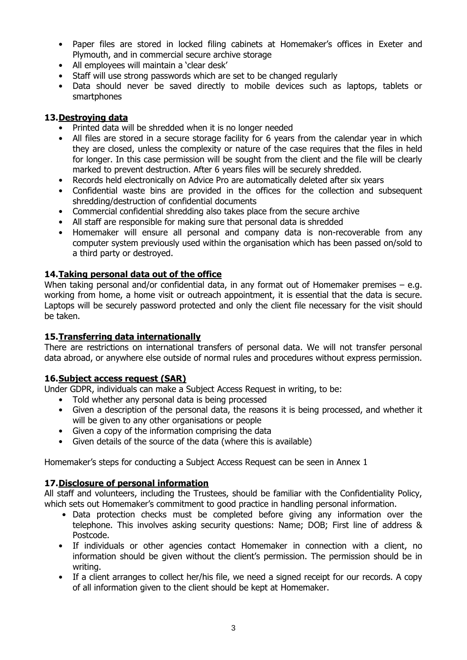- Paper files are stored in locked filing cabinets at Homemaker's offices in Exeter and Plymouth, and in commercial secure archive storage
- All employees will maintain a 'clear desk'
- Staff will use strong passwords which are set to be changed regularly
- Data should never be saved directly to mobile devices such as laptops, tablets or smartphones

## **13.Destroying data**

- Printed data will be shredded when it is no longer needed
- All files are stored in a secure storage facility for 6 years from the calendar year in which they are closed, unless the complexity or nature of the case requires that the files in held for longer. In this case permission will be sought from the client and the file will be clearly marked to prevent destruction. After 6 years files will be securely shredded.
- Records held electronically on Advice Pro are automatically deleted after six years
- Confidential waste bins are provided in the offices for the collection and subsequent shredding/destruction of confidential documents
- Commercial confidential shredding also takes place from the secure archive
- All staff are responsible for making sure that personal data is shredded
- Homemaker will ensure all personal and company data is non-recoverable from any computer system previously used within the organisation which has been passed on/sold to a third party or destroyed.

## **14.Taking personal data out of the office**

When taking personal and/or confidential data, in any format out of Homemaker premises – e.g. working from home, a home visit or outreach appointment, it is essential that the data is secure. Laptops will be securely password protected and only the client file necessary for the visit should be taken.

## **15.Transferring data internationally**

There are restrictions on international transfers of personal data. We will not transfer personal data abroad, or anywhere else outside of normal rules and procedures without express permission.

## **16.Subject access request (SAR)**

Under GDPR, individuals can make a Subject Access Request in writing, to be:

- Told whether any personal data is being processed
- Given a description of the personal data, the reasons it is being processed, and whether it will be given to any other organisations or people
- Given a copy of the information comprising the data
- Given details of the source of the data (where this is available)

Homemaker's steps for conducting a Subject Access Request can be seen in Annex 1

## **17.Disclosure of personal information**

All staff and volunteers, including the Trustees, should be familiar with the Confidentiality Policy, which sets out Homemaker's commitment to good practice in handling personal information.

- Data protection checks must be completed before giving any information over the telephone. This involves asking security questions: Name; DOB; First line of address & Postcode.
- If individuals or other agencies contact Homemaker in connection with a client, no information should be given without the client's permission. The permission should be in writing.
- If a client arranges to collect her/his file, we need a signed receipt for our records. A copy of all information given to the client should be kept at Homemaker.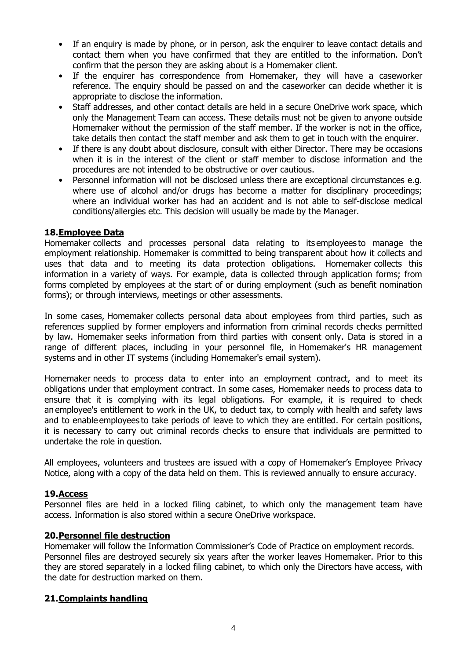- If an enquiry is made by phone, or in person, ask the enquirer to leave contact details and contact them when you have confirmed that they are entitled to the information. Don't confirm that the person they are asking about is a Homemaker client.
- If the enquirer has correspondence from Homemaker, they will have a caseworker reference. The enquiry should be passed on and the caseworker can decide whether it is appropriate to disclose the information.
- Staff addresses, and other contact details are held in a secure OneDrive work space, which only the Management Team can access. These details must not be given to anyone outside Homemaker without the permission of the staff member. If the worker is not in the office, take details then contact the staff member and ask them to get in touch with the enquirer.
- If there is any doubt about disclosure, consult with either Director. There may be occasions when it is in the interest of the client or staff member to disclose information and the procedures are not intended to be obstructive or over cautious.
- Personnel information will not be disclosed unless there are exceptional circumstances e.g. where use of alcohol and/or drugs has become a matter for disciplinary proceedings; where an individual worker has had an accident and is not able to self-disclose medical conditions/allergies etc. This decision will usually be made by the Manager.

#### **18.Employee Data**

Homemaker collects and processes personal data relating to its employees to manage the employment relationship. Homemaker is committed to being transparent about how it collects and uses that data and to meeting its data protection obligations. Homemaker collects this information in a variety of ways. For example, data is collected through application forms; from forms completed by employees at the start of or during employment (such as benefit nomination forms); or through interviews, meetings or other assessments.

In some cases, Homemaker collects personal data about employees from third parties, such as references supplied by former employers and information from criminal records checks permitted by law. Homemaker seeks information from third parties with consent only. Data is stored in a range of different places, including in your personnel file, in Homemaker's HR management systems and in other IT systems (including Homemaker's email system).

Homemaker needs to process data to enter into an employment contract, and to meet its obligations under that employment contract. In some cases, Homemaker needs to process data to ensure that it is complying with its legal obligations. For example, it is required to check an employee's entitlement to work in the UK, to deduct tax, to comply with health and safety laws and to enable employees to take periods of leave to which they are entitled. For certain positions, it is necessary to carry out criminal records checks to ensure that individuals are permitted to undertake the role in question.

All employees, volunteers and trustees are issued with a copy of Homemaker's Employee Privacy Notice, along with a copy of the data held on them. This is reviewed annually to ensure accuracy.

## **19.Access**

Personnel files are held in a locked filing cabinet, to which only the management team have access. Information is also stored within a secure OneDrive workspace.

#### **20.Personnel file destruction**

Homemaker will follow the Information Commissioner's Code of Practice on employment records. Personnel files are destroyed securely six years after the worker leaves Homemaker. Prior to this they are stored separately in a locked filing cabinet, to which only the Directors have access, with the date for destruction marked on them.

#### **21.Complaints handling**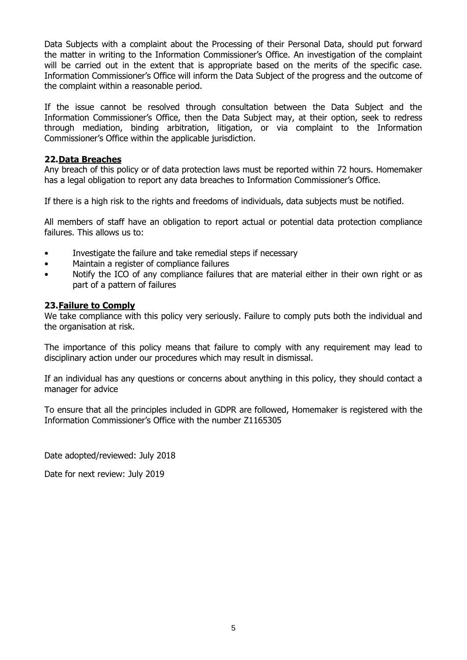Data Subjects with a complaint about the Processing of their Personal Data, should put forward the matter in writing to the Information Commissioner's Office. An investigation of the complaint will be carried out in the extent that is appropriate based on the merits of the specific case. Information Commissioner's Office will inform the Data Subject of the progress and the outcome of the complaint within a reasonable period.

If the issue cannot be resolved through consultation between the Data Subject and the Information Commissioner's Office, then the Data Subject may, at their option, seek to redress through mediation, binding arbitration, litigation, or via complaint to the Information Commissioner's Office within the applicable jurisdiction.

#### **22.Data Breaches**

Any breach of this policy or of data protection laws must be reported within 72 hours. Homemaker has a legal obligation to report any data breaches to Information Commissioner's Office.

If there is a high risk to the rights and freedoms of individuals, data subjects must be notified.

All members of staff have an obligation to report actual or potential data protection compliance failures. This allows us to:

- Investigate the failure and take remedial steps if necessary
- Maintain a register of compliance failures
- Notify the ICO of any compliance failures that are material either in their own right or as part of a pattern of failures

#### **23.Failure to Comply**

We take compliance with this policy very seriously. Failure to comply puts both the individual and the organisation at risk.

The importance of this policy means that failure to comply with any requirement may lead to disciplinary action under our procedures which may result in dismissal.

If an individual has any questions or concerns about anything in this policy, they should contact a manager for advice

To ensure that all the principles included in GDPR are followed, Homemaker is registered with the Information Commissioner's Office with the number Z1165305

Date adopted/reviewed: July 2018

Date for next review: July 2019